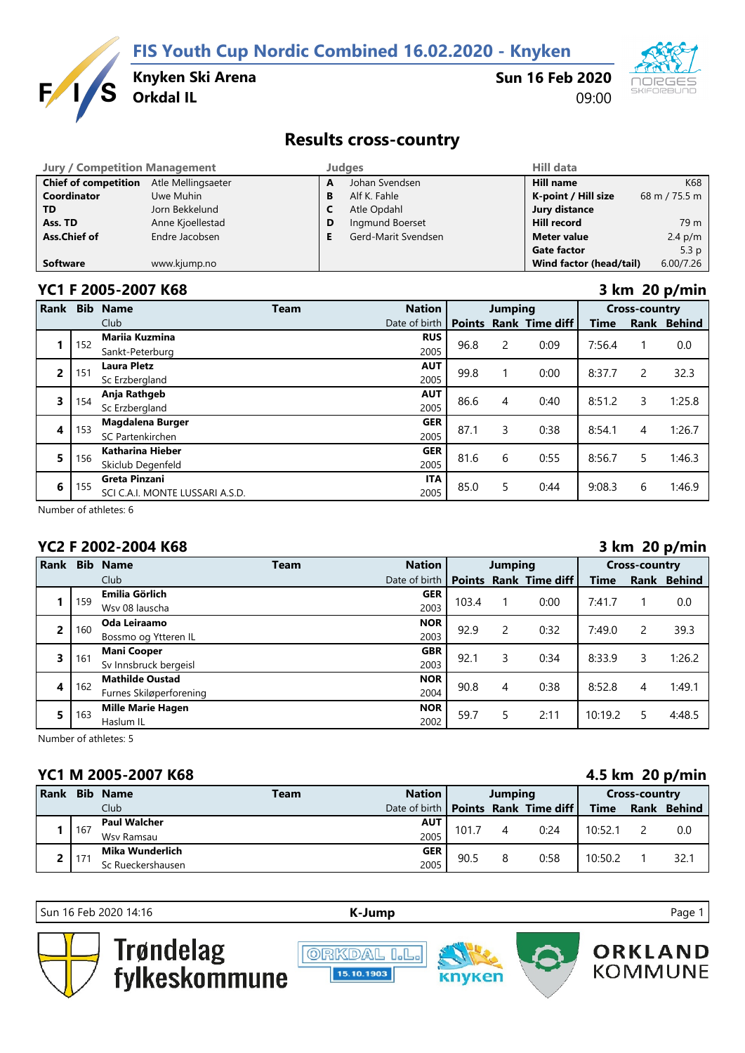**FIS Youth Cup Nordic Combined 16.02.2020 - Knyken**



**Knyken Ski Arena**

## **Sun 16 Feb 2020** 09:00



# **Results cross-country**

| <b>Jury / Competition Management</b> |                    |   | Judges              | <b>Hill data</b>        |                  |
|--------------------------------------|--------------------|---|---------------------|-------------------------|------------------|
| <b>Chief of competition</b>          | Atle Mellingsaeter | A | Johan Svendsen      | <b>Hill name</b>        | K68              |
| <b>Coordinator</b>                   | Uwe Muhin          | В | Alf K. Fahle        | K-point / Hill size     | 68 m / 75.5 m    |
| <b>TD</b>                            | Jorn Bekkelund     | C | Atle Opdahl         | Jury distance           |                  |
| Ass. TD                              | Anne Kjoellestad   | D | Ingmund Boerset     | <b>Hill record</b>      | 79 m             |
| Ass.Chief of                         | Endre Jacobsen     |   | Gerd-Marit Svendsen | <b>Meter value</b>      | $2.4$ p/m        |
|                                      |                    |   |                     | <b>Gate factor</b>      | 5.3 <sub>p</sub> |
| <b>Software</b>                      | www.kjump.no       |   |                     | Wind factor (head/tail) | 6.00/7.26        |

### **YC1 F 2005-2007 K68 3 km 20 p/min**

|                | ,  = , , |                                 |      |               |                |   |                       |                      |             |               |  |
|----------------|----------|---------------------------------|------|---------------|----------------|---|-----------------------|----------------------|-------------|---------------|--|
| Rank           |          | <b>Bib Name</b>                 | Team | <b>Nation</b> | <b>Jumping</b> |   |                       | <b>Cross-country</b> |             |               |  |
|                |          | Club                            |      | Date of birth | <b>Points</b>  |   | <b>Rank Time diff</b> | Time                 | <b>Rank</b> | <b>Behind</b> |  |
|                | 152      | <b>Mariia Kuzmina</b>           |      | <b>RUS</b>    | 96.8           | 2 | 0:09                  | 7:56.4               |             | 0.0           |  |
|                |          | Sankt-Peterburg                 |      | 2005          |                |   |                       |                      |             |               |  |
| $\overline{2}$ | 151      | <b>Laura Pletz</b>              |      | <b>AUT</b>    | 99.8           |   | 0:00                  | 8:37.7               | 2           | 32.3          |  |
|                |          | Sc Erzbergland                  |      | 2005          |                |   |                       |                      |             |               |  |
| 3              | 154      | Anja Rathgeb                    |      | <b>AUT</b>    | 86.6           | 4 | 0:40                  | 8:51.2               | 3           | 1:25.8        |  |
|                |          | Sc Erzbergland                  |      | 2005          |                |   |                       |                      |             |               |  |
|                | 153      | <b>Magdalena Burger</b>         |      | <b>GER</b>    | 87.1           | 3 | 0:38                  | 8:54.1               |             | 1:26.7        |  |
| 4              |          | SC Partenkirchen                |      | 2005          |                |   |                       |                      | 4           |               |  |
| 5              | 156      | Katharina Hieber                |      | <b>GER</b>    | 81.6           | 6 |                       | 8:56.7               | 5           |               |  |
|                |          | Skiclub Degenfeld               |      | 2005          |                |   | 0:55                  |                      |             | 1:46.3        |  |
| 6              |          | <b>Greta Pinzani</b>            |      | <b>ITA</b>    |                |   |                       |                      |             |               |  |
|                | 155      | SCI C.A.I. MONTE LUSSARI A.S.D. |      | 2005          | 85.0           | 5 | 0:44                  | 9:08.3               | 6           | 1:46.9        |  |

Number of athletes: 6

# **YC2 F 2002-2004 K68 3 km 20 p/min**

| Rank |     | <b>Bib Name</b>          | Team       | <b>Nation</b> | <b>Jumping</b> |      |                | <b>Cross-country</b> |        |             |  |
|------|-----|--------------------------|------------|---------------|----------------|------|----------------|----------------------|--------|-------------|--|
|      |     | Club                     |            | Date of birth | <b>Points</b>  |      | Rank Time diff | <b>Time</b>          |        | Rank Behind |  |
|      | 159 | Emilia Görlich           |            | <b>GER</b>    | 103.4          |      | 0:00           | 7:41.7               |        |             |  |
|      |     | Wsv 08 lauscha           |            | 2003          |                |      |                |                      |        | 0.0         |  |
| 2    | 160 | Oda Leiraamo             |            | <b>NOR</b>    | 92.9           | 2    | 0:32           | 7:49.0               | 2      | 39.3        |  |
|      |     | Bossmo og Ytteren IL     |            | 2003          |                |      |                |                      |        |             |  |
| 3    | 161 | <b>Mani Cooper</b>       | <b>GBR</b> | 92.1          | 3              | 0:34 | 8:33.9         | 3                    | 1:26.2 |             |  |
|      |     | Sv Innsbruck bergeisl    |            | 2003          |                |      |                |                      |        |             |  |
| 4    |     | <b>Mathilde Oustad</b>   |            | <b>NOR</b>    | 90.8           | 4    | 0:38           | 8:52.8               |        | 1:49.1      |  |
|      | 162 | Furnes Skiløperforening  |            | 2004          |                |      |                |                      | 4      |             |  |
| 5    |     | <b>Mille Marie Hagen</b> |            | <b>NOR</b>    | 59.7           | 5    | 2:11           | 10:19.2              |        | 4:48.5      |  |
|      | 163 | Haslum IL                |            | 2002          |                |      |                |                      |        |             |  |

Number of athletes: 5

## **YC1 M 2005-2007 K68 4.5 km 20 p/min**

|             | .<br>$\cdots$ $\cdots$ $\cdots$ |                     |             |                                       |         |   |      |             |                      |             |  |
|-------------|---------------------------------|---------------------|-------------|---------------------------------------|---------|---|------|-------------|----------------------|-------------|--|
| <b>Rank</b> |                                 | <b>Bib Name</b>     | <b>Team</b> | <b>Nation</b>                         | Jumping |   |      |             | <b>Cross-country</b> |             |  |
|             |                                 | Club <sup>1</sup>   |             | Date of birth   Points Rank Time diff |         |   |      | <b>Time</b> |                      | Rank Behind |  |
|             | 167                             | <b>Paul Walcher</b> |             | <b>AUT</b>                            | 101.7   |   | 0:24 | 10:52.1     |                      | 0.0         |  |
|             |                                 | Wsv Ramsau          |             | 2005                                  |         |   |      |             |                      |             |  |
|             | $17^{\circ}$                    | Mika Wunderlich     |             | <b>GER</b>                            |         | 8 | 0:58 |             |                      |             |  |
|             |                                 | Sc Rueckershausen   |             | 2005                                  | 90.5    |   |      | 10:50.2     |                      | 32.1        |  |

Sun 16 Feb 2020 14:16 **[K-J](http://kjump.no/)ump** Page 1





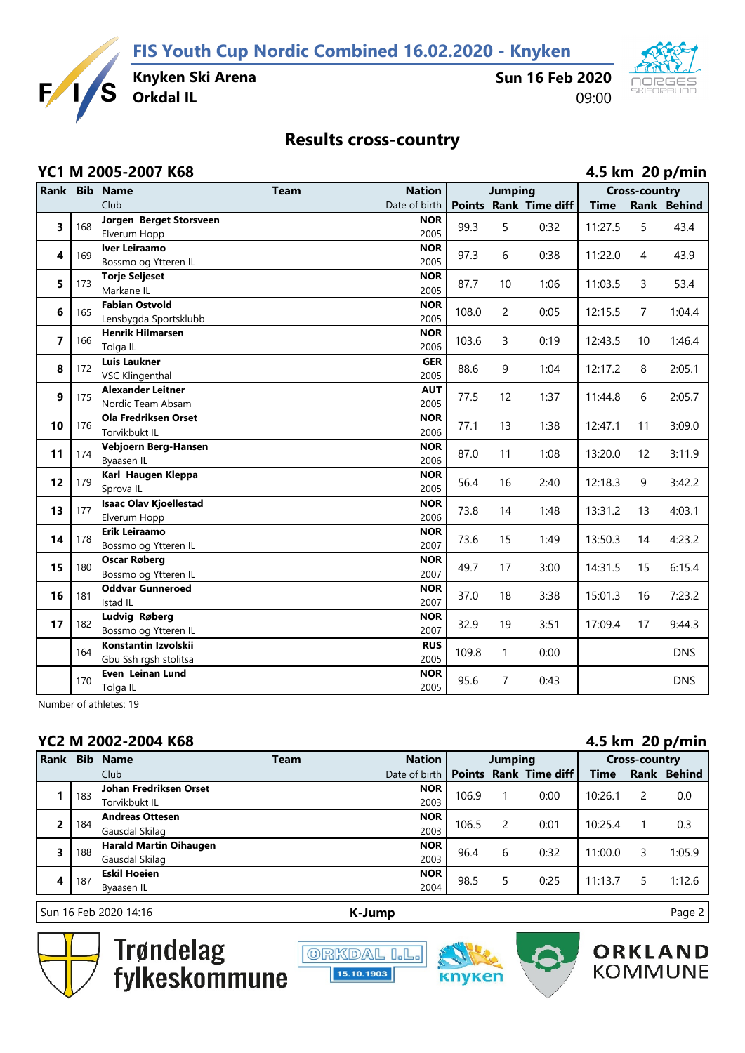**FIS Youth Cup Nordic Combined 16.02.2020 - Knyken**



**Sun 16 Feb 2020** 09:00



# **Results cross-country**

|                | YC1 M 2005-2007 K68 |                                                  |             |                    |       |                |                       |             | 4.5 km 20 p/min      |             |  |  |  |
|----------------|---------------------|--------------------------------------------------|-------------|--------------------|-------|----------------|-----------------------|-------------|----------------------|-------------|--|--|--|
|                |                     | Rank Bib Name                                    | <b>Team</b> | <b>Nation</b>      |       | <b>Jumping</b> |                       |             | <b>Cross-country</b> |             |  |  |  |
|                |                     | Club                                             |             | Date of birth      |       |                | Points Rank Time diff | <b>Time</b> |                      | Rank Behind |  |  |  |
| 3              | 168                 | Jorgen Berget Storsveen                          |             | <b>NOR</b>         | 99.3  | 5              | 0:32                  | 11:27.5     | 5                    | 43.4        |  |  |  |
|                |                     | Elverum Hopp                                     |             | 2005               |       |                |                       |             |                      |             |  |  |  |
| 4              | 169                 | <b>Iver Leiraamo</b>                             |             | <b>NOR</b>         | 97.3  | 6              | 0:38                  | 11:22.0     | 4                    | 43.9        |  |  |  |
|                |                     | Bossmo og Ytteren IL                             |             | 2005               |       |                |                       |             |                      |             |  |  |  |
| 5              | 173                 | <b>Torje Seljeset</b>                            |             | <b>NOR</b>         | 87.7  | 10             | 1:06                  | 11:03.5     | 3                    | 53.4        |  |  |  |
|                |                     | Markane IL                                       |             | 2005               |       |                |                       |             |                      |             |  |  |  |
| 6              | 165                 | <b>Fabian Ostvold</b>                            |             | <b>NOR</b><br>2005 | 108.0 | 2              | 0:05                  | 12:15.5     | $\overline{7}$       | 1:04.4      |  |  |  |
|                |                     | Lensbygda Sportsklubb<br><b>Henrik Hilmarsen</b> |             | <b>NOR</b>         |       |                |                       |             |                      |             |  |  |  |
| $\overline{7}$ | 166                 | Tolga IL                                         |             | 2006               | 103.6 | 3              | 0:19                  | 12:43.5     | 10                   | 1:46.4      |  |  |  |
|                |                     | <b>Luis Laukner</b>                              |             | <b>GER</b>         |       |                |                       |             |                      |             |  |  |  |
| 8              | 172                 | <b>VSC Klingenthal</b>                           |             | 2005               | 88.6  | 9              | 1:04                  | 12:17.2     | 8                    | 2:05.1      |  |  |  |
|                |                     | <b>Alexander Leitner</b>                         |             | <b>AUT</b>         |       |                |                       |             |                      |             |  |  |  |
| 9              | 175                 | Nordic Team Absam                                |             | 2005               | 77.5  | 12             | 1:37                  | 11:44.8     | 6                    | 2:05.7      |  |  |  |
|                |                     | <b>Ola Fredriksen Orset</b>                      |             | <b>NOR</b>         |       |                |                       |             |                      |             |  |  |  |
| 10             | 176                 | Torvikbukt IL                                    |             | 2006               | 77.1  | 13             | 1:38                  | 12:47.1     | 11                   | 3:09.0      |  |  |  |
| 11             | 174                 | Vebjoern Berg-Hansen                             |             | <b>NOR</b>         | 87.0  | 11             | 1:08                  | 13:20.0     | 12                   | 3:11.9      |  |  |  |
|                |                     | Byaasen IL                                       |             | 2006               |       |                |                       |             |                      |             |  |  |  |
| 12             | 179                 | Karl Haugen Kleppa                               |             | <b>NOR</b>         | 56.4  | 16             | 2:40                  | 12:18.3     | 9                    | 3:42.2      |  |  |  |
|                |                     | Sprova IL                                        |             | 2005               |       |                |                       |             |                      |             |  |  |  |
| 13             | 177                 | <b>Isaac Olav Kjoellestad</b>                    |             | <b>NOR</b>         | 73.8  | 14             | 1:48                  | 13:31.2     | 13                   | 4:03.1      |  |  |  |
|                |                     | Elverum Hopp                                     |             | 2006               |       |                |                       |             |                      |             |  |  |  |
| 14             | 178                 | Erik Leiraamo                                    |             | <b>NOR</b>         | 73.6  | 15             | 1:49                  | 13:50.3     | 14                   | 4:23.2      |  |  |  |
|                |                     | Bossmo og Ytteren IL                             |             | 2007               |       |                |                       |             |                      |             |  |  |  |
| 15             | 180                 | <b>Oscar Røberg</b>                              |             | <b>NOR</b><br>2007 | 49.7  | 17             | 3:00                  | 14:31.5     | 15                   | 6:15.4      |  |  |  |
|                |                     | Bossmo og Ytteren IL<br><b>Oddvar Gunneroed</b>  |             | <b>NOR</b>         |       |                |                       |             |                      |             |  |  |  |
| 16             | 181                 | Istad IL                                         |             | 2007               | 37.0  | 18             | 3:38                  | 15:01.3     | 16                   | 7:23.2      |  |  |  |
|                |                     | Ludvig Røberg                                    |             | <b>NOR</b>         |       |                |                       |             |                      |             |  |  |  |
| 17             | 182                 | Bossmo og Ytteren IL                             |             | 2007               | 32.9  | 19             | 3:51                  | 17:09.4     | 17                   | 9:44.3      |  |  |  |
|                |                     | Konstantin Izvolskii                             |             | <b>RUS</b>         |       |                |                       |             |                      |             |  |  |  |
|                | 164                 | Gbu Ssh rgsh stolitsa                            |             | 2005               | 109.8 | 1              | 0:00                  |             |                      | <b>DNS</b>  |  |  |  |
|                |                     | Even Leinan Lund                                 |             | <b>NOR</b>         |       |                |                       |             |                      |             |  |  |  |
|                | 170                 | Tolga IL                                         |             | 2005               | 95.6  | 7              | 0:43                  |             |                      | <b>DNS</b>  |  |  |  |

Number of athletes: 19

## **YC2 M 2002-2004 K68 4.5 km 20 p/min**

| <b>Rank</b>    | <b>Bib</b> | <b>Name</b>                   | Team | <b>Nation</b> | Jumping |   |                              | <b>Cross-country</b> |   |             |  |
|----------------|------------|-------------------------------|------|---------------|---------|---|------------------------------|----------------------|---|-------------|--|
|                |            | Club                          |      | Date of birth |         |   | <b>Points Rank Time diff</b> | Time                 |   | Rank Behind |  |
|                | 183        | <b>Johan Fredriksen Orset</b> |      | <b>NOR</b>    | 106.9   |   | 0:00                         | 10:26.1              | 2 | 0.0         |  |
|                |            | Torvikbukt IL                 |      | 2003          |         |   |                              |                      |   |             |  |
| $\overline{2}$ | 184        | <b>Andreas Ottesen</b>        |      | <b>NOR</b>    | 106.5   |   | 0:01                         | 10:25.4              |   | 0.3         |  |
|                |            | Gausdal Skilag                |      | 2003          |         |   |                              |                      |   |             |  |
| 3              | 188        | <b>Harald Martin Oihaugen</b> |      | <b>NOR</b>    | 96.4    | 6 | 0:32                         | 11:00.0              | 3 | 1:05.9      |  |
|                |            | Gausdal Skilag                |      | 2003          |         |   |                              |                      |   |             |  |
| 4              | 187        | <b>Eskil Hoeien</b>           |      | <b>NOR</b>    | 98.5    |   | 0:25                         | 11:13.7              |   | 1:12.6      |  |
|                |            | Byaasen IL                    |      | 2004          |         |   |                              |                      |   |             |  |
|                |            |                               |      |               |         |   |                              |                      |   |             |  |

Sun 16 Feb 2020 14:16 **[K-J](http://kjump.no/)ump** Page 2



Trøndelag<br>fylkeskommune